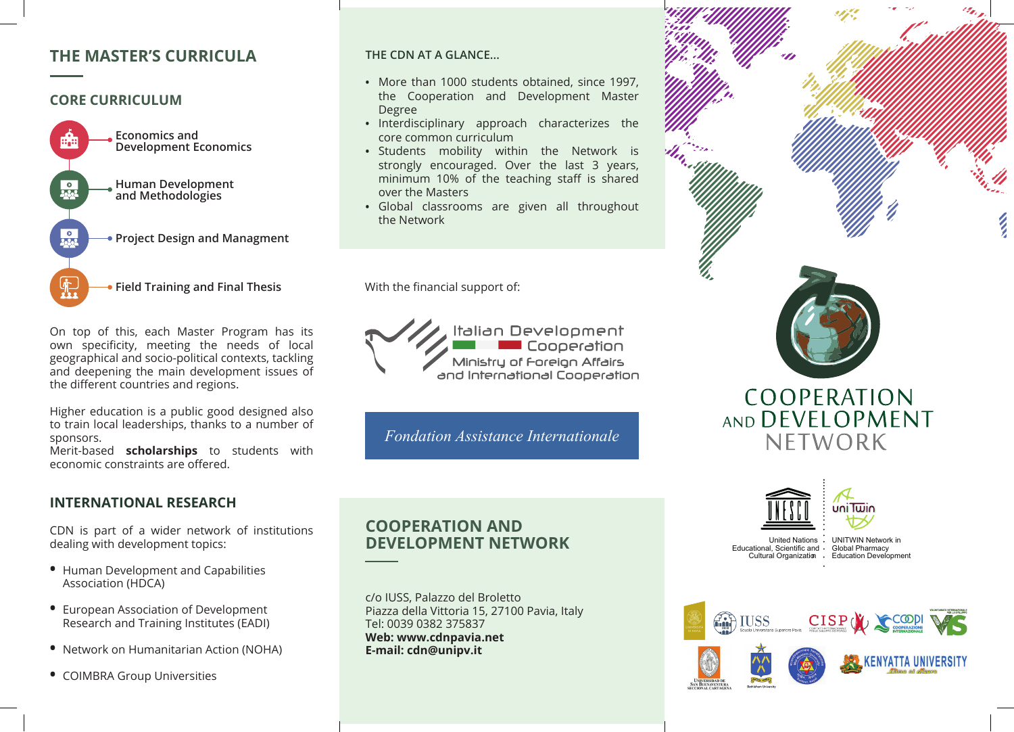# **THE MASTER'S CURRICULA**

## **CORE CURRICULUM**



On top of this, each Master Program has its own specificity, meeting the needs of local geographical and socio-political contexts, tackling and deepening the main development issues of the different countries and regions.

Higher education is a public good designed also to train local leaderships, thanks to a number of sponsors.

Merit-based **scholarships** to students with economic constraints are offered.

# **INTERNATIONAL RESEARCH**

CDN is part of a wider network of institutions dealing with development topics:

- **•** Human Development and Capabilities Association (HDCA)
- **•** European Association of Development Research and Training Institutes (EADI)
- **•** Network on Humanitarian Action (NOHA)
- **•** COIMBRA Group Universities

#### **THE CDN AT A GLANCE...**

- **•** More than 1000 students obtained, since 1997, the Cooperation and Development Master Degree
- **•** Interdisciplinary approach characterizes the core common curriculum
- **•** Students mobility within the Network is strongly encouraged. Over the last 3 years, minimum 10% of the teaching staff is shared over the Masters
- **•** Global classrooms are given all throughout the Network

With the financial support of:



*Fondation Assistance Internationale*

**COOPERATION AND DEVELOPMENT NETWORK**

c/o IUSS, Palazzo del Broletto Piazza della Vittoria 15, 27100 Pavia, Italy Tel: 0039 0382 375837 **Web: www.cdnpavia.net E-mail: cdn@unipv.it**





United Nations · UNITWIN Network in Educational, Scientific and · Global Pharmacy Cultural Organization . Education Development